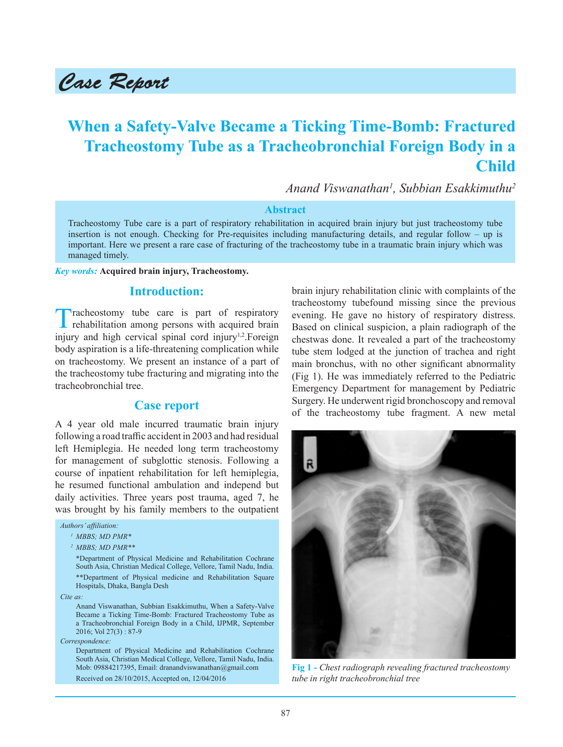# Case Report

# **When a Safety-Valve Became a Ticking Time-Bomb: Fractured Tracheostomy Tube as a Tracheobronchial Foreign Body in a Child**

*Anand Viswanathan<sup>1</sup> , Subbian Esakkimuthu<sup>2</sup>*

#### **Abstract**

Tracheostomy Tube care is a part of respiratory rehabilitation in acquired brain injury but just tracheostomy tube insertion is not enough. Checking for Pre-requisites including manufacturing details, and regular follow – up is important. Here we present a rare case of fracturing of the tracheostomy tube in a traumatic brain injury which was managed timely.

#### *Key words:* **Acquired brain injury, Tracheostomy.**

### **Introduction:**

Tracheostomy tube care is part of respiratory rehabilitation among persons with acquired brain injury and high cervical spinal cord injury<sup>1,2</sup>. Foreign body aspiration is a life-threatening complication while on tracheostomy. We present an instance of a part of the tracheostomy tube fracturing and migrating into the tracheobronchial tree.

#### **Case report**

A 4 year old male incurred traumatic brain injury following a road traffic accident in 2003 and had residual left Hemiplegia. He needed long term tracheostomy for management of subglottic stenosis. Following a course of inpatient rehabilitation for left hemiplegia, he resumed functional ambulation and independ but daily activities. Three years post trauma, aged 7, he was brought by his family members to the outpatient

#### *Authors' affiliation:*

```
1MBBS; MD PMR*
```

```
2MBBS; MD PMR**
```
 \*Department of Physical Medicine and Rehabilitation Cochrane South Asia, Christian Medical College, Vellore, Tamil Nadu, India. \*\*Department of Physical medicine and Rehabilitation Square Hospitals, Dhaka, Bangla Desh

*Cite as:*

 Anand Viswanathan, Subbian Esakkimuthu, When a Safety-Valve Became a Ticking Time-Bomb: Fractured Tracheostomy Tube as a Tracheobronchial Foreign Body in a Child, IJPMR, September 2016; Vol 27(3) : 87-9

*Correspondence:*

Department of Physical Medicine and Rehabilitation Cochrane South Asia, Christian Medical College, Vellore, Tamil Nadu, India. Mob: 09884217395, Email: dranandviswanathan@gmail.com Received on 28/10/2015, Accepted on, 12/04/2016

brain injury rehabilitation clinic with complaints of the tracheostomy tubefound missing since the previous evening. He gave no history of respiratory distress. Based on clinical suspicion, a plain radiograph of the chestwas done. It revealed a part of the tracheostomy tube stem lodged at the junction of trachea and right main bronchus, with no other significant abnormality (Fig 1). He was immediately referred to the Pediatric Emergency Department for management by Pediatric Surgery. He underwent rigid bronchoscopy and removal of the tracheostomy tube fragment. A new metal



**Fig 1 -** *Chest radiograph revealing fractured tracheostomy tube in right tracheobronchial tree*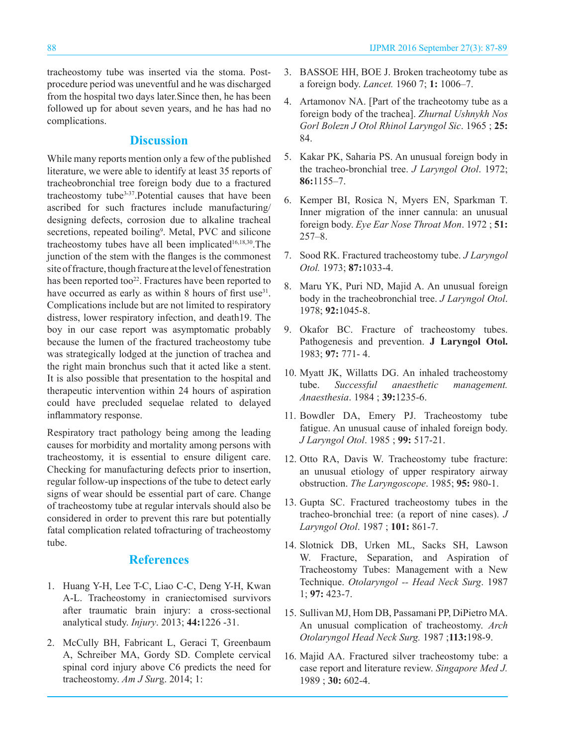tracheostomy tube was inserted via the stoma. Postprocedure period was uneventful and he was discharged from the hospital two days later.Since then, he has been followed up for about seven years, and he has had no complications.

## **Discussion**

While many reports mention only a few of the published literature, we were able to identify at least 35 reports of tracheobronchial tree foreign body due to a fractured tracheostomy tube<sup>3-37</sup>. Potential causes that have been ascribed for such fractures include manufacturing/ designing defects, corrosion due to alkaline tracheal secretions, repeated boiling<sup>9</sup>. Metal, PVC and silicone tracheostomy tubes have all been implicated $16,18,30$ . The junction of the stem with the flanges is the commonest site of fracture, though fracture at the level of fenestration has been reported too<sup>22</sup>. Fractures have been reported to have occurred as early as within 8 hours of first use $31$ . Complications include but are not limited to respiratory distress, lower respiratory infection, and death19. The boy in our case report was asymptomatic probably because the lumen of the fractured tracheostomy tube was strategically lodged at the junction of trachea and the right main bronchus such that it acted like a stent. It is also possible that presentation to the hospital and therapeutic intervention within 24 hours of aspiration could have precluded sequelae related to delayed inflammatory response.

Respiratory tract pathology being among the leading causes for morbidity and mortality among persons with tracheostomy, it is essential to ensure diligent care. Checking for manufacturing defects prior to insertion, regular follow-up inspections of the tube to detect early signs of wear should be essential part of care. Change of tracheostomy tube at regular intervals should also be considered in order to prevent this rare but potentially fatal complication related tofracturing of tracheostomy tube.

# **References**

- 1. Huang Y-H, Lee T-C, Liao C-C, Deng Y-H, Kwan A-L. Tracheostomy in craniectomised survivors after traumatic brain injury: a cross-sectional analytical study. *Injury*. 2013; **44:**1226 -31.
- 2. McCully BH, Fabricant L, Geraci T, Greenbaum A, Schreiber MA, Gordy SD. Complete cervical spinal cord injury above C6 predicts the need for tracheostomy. *Am J Sur*g. 2014; 1:
- 3. BASSOE HH, BOE J. Broken tracheotomy tube as a foreign body. *Lancet.* 1960 7; **1:** 1006–7.
- 4. Artamonov NA. [Part of the tracheotomy tube as a foreign body of the trachea]. *Zhurnal Ushnykh Nos Gorl Bolezn J Otol Rhinol Laryngol Sic*. 1965 ; **25:**  84.
- 5. Kakar PK, Saharia PS. An unusual foreign body in the tracheo-bronchial tree. *J Laryngol Otol*. 1972; **86:**1155–7.
- 6. Kemper BI, Rosica N, Myers EN, Sparkman T. Inner migration of the inner cannula: an unusual foreign body. *Eye Ear Nose Throat Mon*. 1972 ; **51:**  257–8.
- 7. Sood RK. Fractured tracheostomy tube. *J Laryngol Otol.* 1973; **87:**1033-4.
- 8. Maru YK, Puri ND, Majid A. An unusual foreign body in the tracheobronchial tree. *J Laryngol Otol*. 1978; **92:**1045-8.
- 9. Okafor BC. Fracture of tracheostomy tubes. Pathogenesis and prevention. **J Laryngol Otol.**  1983; **97:** 771- 4.
- 10. Myatt JK, Willatts DG. An inhaled tracheostomy tube. *Successful anaesthetic management. Anaesthesia*. 1984 ; **39:**1235-6.
- 11. Bowdler DA, Emery PJ. Tracheostomy tube fatigue. An unusual cause of inhaled foreign body. *J Laryngol Otol*. 1985 ; **99:** 517-21.
- 12. Otto RA, Davis W. Tracheostomy tube fracture: an unusual etiology of upper respiratory airway obstruction. *The Laryngoscope*. 1985; **95:** 980-1.
- 13. Gupta SC. Fractured tracheostomy tubes in the tracheo-bronchial tree: (a report of nine cases). *J Laryngol Otol*. 1987 ; **101:** 861-7.
- 14. Slotnick DB, Urken ML, Sacks SH, Lawson W. Fracture, Separation, and Aspiration of Tracheostomy Tubes: Management with a New Technique. *Otolaryngol -- Head Neck Surg*. 1987 1; **97:** 423-7.
- 15. Sullivan MJ, Hom DB, Passamani PP, DiPietro MA. An unusual complication of tracheostomy. *Arch Otolaryngol Head Neck Surg.* 1987 ;**113:**198-9.
- 16. Majid AA. Fractured silver tracheostomy tube: a case report and literature review. *Singapore Med J.*  1989 ; **30:** 602-4.